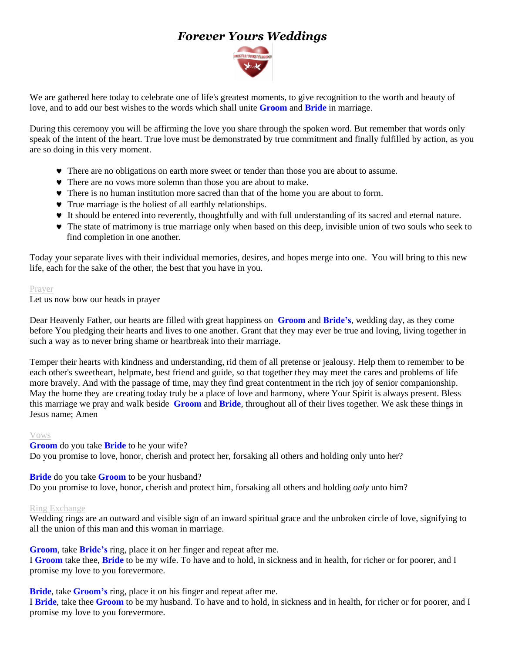# *Forever Yours Weddings*



We are gathered here today to celebrate one of life's greatest moments, to give recognition to the worth and beauty of love, and to add our best wishes to the words which shall unite **Groom** and **Bride** in marriage.

During this ceremony you will be affirming the love you share through the spoken word. But remember that words only speak of the intent of the heart. True love must be demonstrated by true commitment and finally fulfilled by action, as you are so doing in this very moment.

- There are no obligations on earth more sweet or tender than those you are about to assume.
- There are no vows more solemn than those you are about to make.
- There is no human institution more sacred than that of the home you are about to form.
- True marriage is the holiest of all earthly relationships.
- It should be entered into reverently, thoughtfully and with full understanding of its sacred and eternal nature.
- The state of matrimony is true marriage only when based on this deep, invisible union of two souls who seek to find completion in one another.

Today your separate lives with their individual memories, desires, and hopes merge into one. You will bring to this new life, each for the sake of the other, the best that you have in you.

#### Prayer

Let us now bow our heads in prayer

Dear Heavenly Father, our hearts are filled with great happiness on **Groom** and **Bride's**, wedding day, as they come before You pledging their hearts and lives to one another. Grant that they may ever be true and loving, living together in such a way as to never bring shame or heartbreak into their marriage.

Temper their hearts with kindness and understanding, rid them of all pretense or jealousy. Help them to remember to be each other's sweetheart, helpmate, best friend and guide, so that together they may meet the cares and problems of life more bravely. And with the passage of time, may they find great contentment in the rich joy of senior companionship. May the home they are creating today truly be a place of love and harmony, where Your Spirit is always present. Bless this marriage we pray and walk beside **Groom** and **Bride**, throughout all of their lives together. We ask these things in Jesus name; Amen

#### Vows

**Groom** do you take **Bride** to he your wife? Do you promise to love, honor, cherish and protect her, forsaking all others and holding only unto her?

## **Bride** do you take **Groom** to be your husband?

Do you promise to love, honor*,* cherish and protect him, forsaking all others and holding *only* unto him?

#### Ring Exchange

Wedding rings are an outward and visible sign of an inward spiritual grace and the unbroken circle of love, signifying to all the union of this man and this woman in marriage.

**Groom**, take **Bride's** ring, place it on her finger and repeat after me. I **Groom** take thee, **Bride** to be my wife. To have and to hold, in sickness and in health, for richer or for poorer, and I promise my love to you forevermore.

**Bride**, take **Groom's** ring, place it on his finger and repeat after me.

I **Bride**, take thee **Groom** to be my husband. To have and to hold, in sickness and in health, for richer or for poorer, and I promise my love to you forevermore.